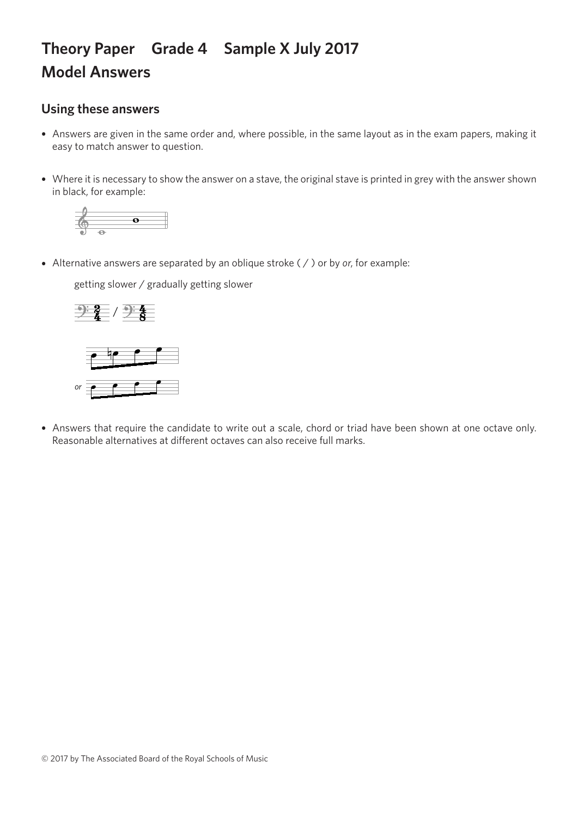## **Theory Paper Grade 4 Sample X July 2017 Model Answers**

## **Using these answers**

- Answers are given in the same order and, where possible, in the same layout as in the exam papers, making it easy to match answer to question.
- Where it is necessary to show the answer on a stave, the original stave is printed in grey with the answer shown in black, for example:



• Alternative answers are separated by an oblique stroke ( / ) or by *or*, for example:

getting slower / gradually getting slower getting slower / gradually getting slower getting slower / gradually getting slower



*or or*

• Answers that require the candidate to write out a scale, chord or triad have been shown at one octave only. Reasonable alternatives at different octaves can also receive full marks.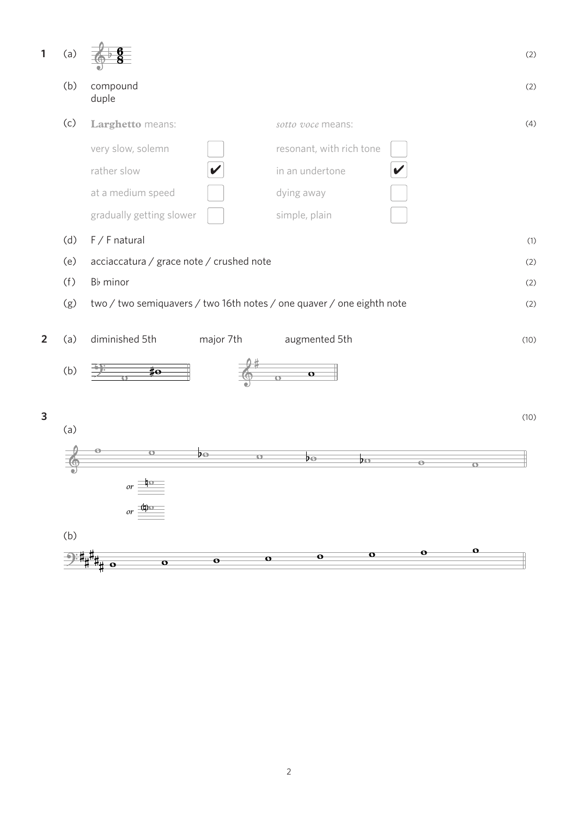| $\mathbf{1}$   | (a) |                                                                       | (2)  |
|----------------|-----|-----------------------------------------------------------------------|------|
|                | (b) | compound<br>duple                                                     | (2)  |
|                | (c) | Larghetto means:<br>sotto voce means:                                 | (4)  |
|                |     | very slow, solemn<br>resonant, with rich tone                         |      |
|                |     | rather slow<br>in an undertone                                        |      |
|                |     | at a medium speed<br>dying away                                       |      |
|                |     | gradually getting slower<br>simple, plain                             |      |
|                | (d) | $F / F$ natural                                                       | (1)  |
|                | (e) | acciaccatura / grace note / crushed note                              | (2)  |
|                | (f) | B <sub>b</sub> minor                                                  | (2)  |
|                | (g) | two / two semiquavers / two 16th notes / one quaver / one eighth note | (2)  |
| $\overline{2}$ | (a) | diminished 5th<br>major 7th<br>augmented 5th                          | (10) |
|                | (b) | $\sharp$ o<br>$\mathbf{o}$                                            |      |
| 3              |     |                                                                       | (10) |
|                | (a) |                                                                       |      |
|                |     | ÞΘ<br>$\sigma$<br>ÞΘ<br>ÞΟ<br>$\Theta$                                |      |
|                | ◡   | σ                                                                     |      |
|                |     | or $\frac{\frac{1}{10}}{100}$<br>or $\frac{(\frac{1}{10})}{100}$      |      |
|                |     |                                                                       |      |
|                | (b) | $\mathbf{o}$                                                          |      |
|                |     | $\bullet$<br>o<br>$\bullet$<br>o<br>$\bullet$<br>$\mathbf{o}$<br>о    |      |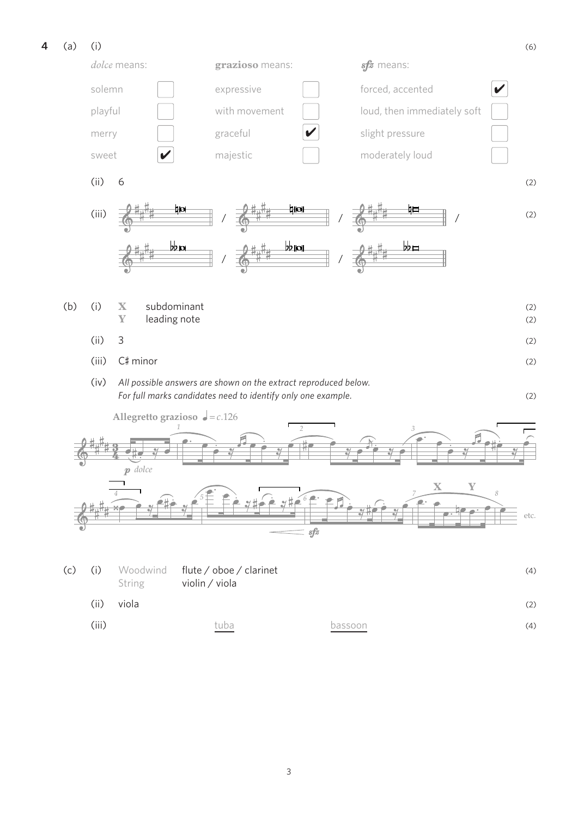